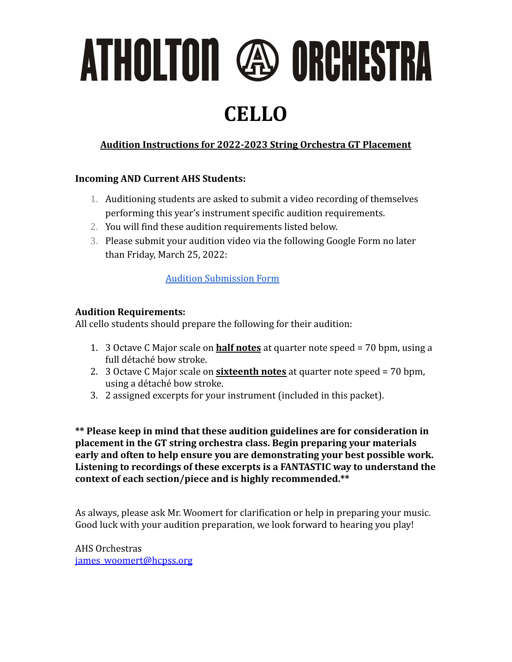ATHOLTON @ ORCHESTRA

### **CELLO**

#### **Audition Instructions for 2022-2023 String Orchestra GT Placement**

#### **Incoming AND Current AHS Students:**

- 1. Auditioning students are asked to submit a video recording of themselves performing this year's instrument specific audition requirements.
- 2. You will find these audition requirements listed below.
- 3. Please submit your audition video via the following Google Form no later than Friday, March 25, 2022:

#### [Audition Submission Form](https://forms.gle/oHtR1A3Y7SwL3D3i7)

#### **Audition Requirements:**

All cello students should prepare the following for their audition:

- 1. 3 Octave C Major scale on **half notes** at quarter note speed = 70 bpm, using a full détaché bow stroke.
- 2. 3 Octave C Major scale on **sixteenth notes** at quarter note speed = 70 bpm, using a détaché bow stroke.
- 3. 2 assigned excerpts for your instrument (included in this packet).

**\*\* Please keep in mind that these audition guidelines are for consideration in placement in the GT string orchestra class. Begin preparing your materials early and often to help ensure you are demonstrating your best possible work. Listening to recordings of these excerpts is a FANTASTIC way to understand the context of each section/piece and is highly recommended.\*\***

As always, please ask Mr. Woomert for clarification or help in preparing your music. Good luck with your audition preparation, we look forward to hearing you play!

AHS Orchestras [james\\_woomert@hcpss.org](mailto:james_woomert@hcpss.org)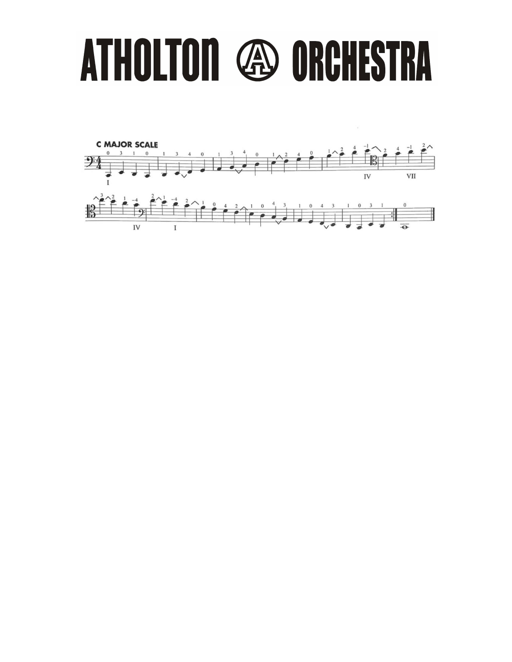# ATHOLTON **49 ORCHESTRA**